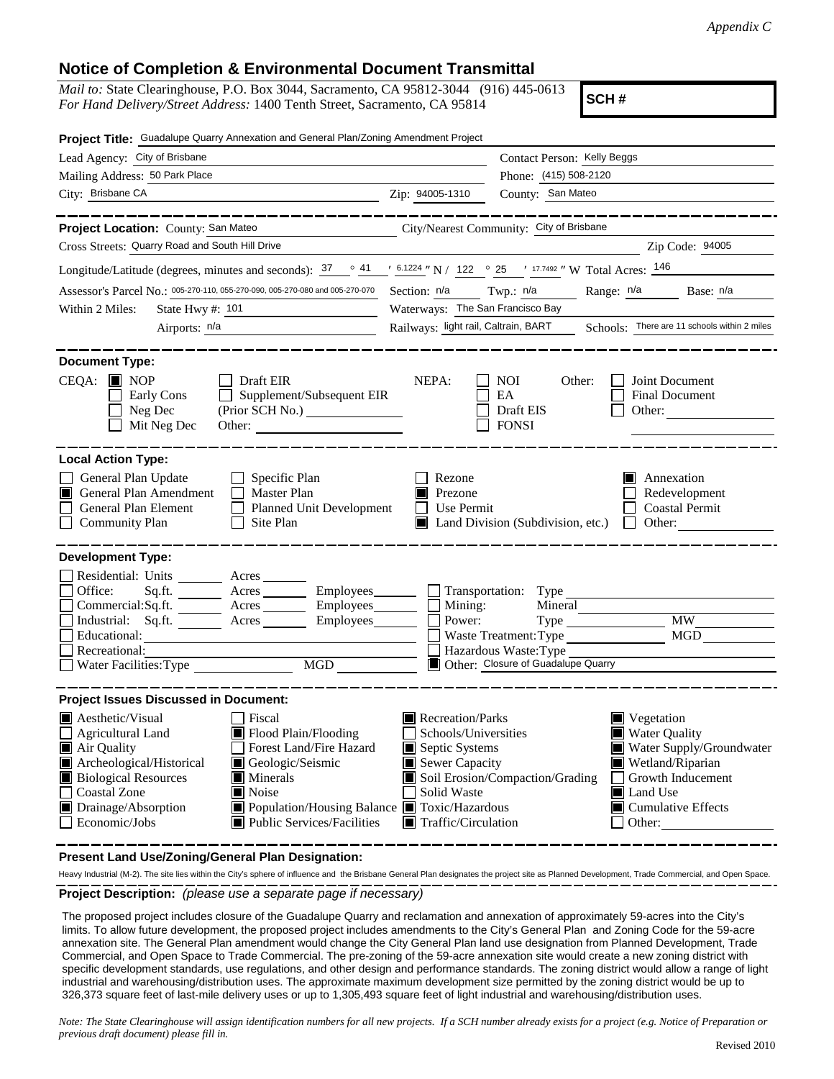## **Notice of Completion & Environmental Document Transmittal**

*Mail to:* State Clearinghouse, P.O. Box 3044, Sacramento, CA 95812-3044 (916) 445-0613 *For Hand Delivery/Street Address:* 1400 Tenth Street, Sacramento, CA 95814

**SCH #**

| Project Title: Guadalupe Quarry Annexation and General Plan/Zoning Amendment Project                                                                                                                                                                                                                                                                                                                                                            |                                                                                                                                   |                                                                                                                                                                                                       |  |
|-------------------------------------------------------------------------------------------------------------------------------------------------------------------------------------------------------------------------------------------------------------------------------------------------------------------------------------------------------------------------------------------------------------------------------------------------|-----------------------------------------------------------------------------------------------------------------------------------|-------------------------------------------------------------------------------------------------------------------------------------------------------------------------------------------------------|--|
| Lead Agency: City of Brisbane                                                                                                                                                                                                                                                                                                                                                                                                                   |                                                                                                                                   | Contact Person: Kelly Beggs                                                                                                                                                                           |  |
| Mailing Address: 50 Park Place                                                                                                                                                                                                                                                                                                                                                                                                                  |                                                                                                                                   | Phone: (415) 508-2120<br>County: San Mateo                                                                                                                                                            |  |
| City: Brisbane CA<br><u> 1990 - Johann Barbara, martin a</u>                                                                                                                                                                                                                                                                                                                                                                                    | Zip: 94005-1310                                                                                                                   |                                                                                                                                                                                                       |  |
| Project Location: County: San Mateo<br>Cross Streets: Quarry Road and South Hill Drive                                                                                                                                                                                                                                                                                                                                                          |                                                                                                                                   | -------------<br>City/Nearest Community: City of Brisbane<br>Zip Code: 94005                                                                                                                          |  |
| Longitude/Latitude (degrees, minutes and seconds): $\frac{37}{2}$ $\frac{41}{2}$ $\frac{16.1224}{2}$ N / 122 $\degree$ 25 $\degree$ 17.7492 " W Total Acres: $\frac{146}{2}$                                                                                                                                                                                                                                                                    |                                                                                                                                   |                                                                                                                                                                                                       |  |
| Assessor's Parcel No.: 005-270-110, 055-270-090, 005-270-080 and 005-270-070                                                                                                                                                                                                                                                                                                                                                                    |                                                                                                                                   | Range: n/a<br>Base: n/a                                                                                                                                                                               |  |
| State Hwy #: 101<br>Within 2 Miles:                                                                                                                                                                                                                                                                                                                                                                                                             | Section: n/a Twp.: n/a<br>Waterways: The San Francisco Bay                                                                        |                                                                                                                                                                                                       |  |
| Airports: $n/a$                                                                                                                                                                                                                                                                                                                                                                                                                                 | Railways: light rail, Caltrain, BART                                                                                              | Schools: There are 11 schools within 2 miles                                                                                                                                                          |  |
|                                                                                                                                                                                                                                                                                                                                                                                                                                                 |                                                                                                                                   |                                                                                                                                                                                                       |  |
| <b>Document Type:</b><br>$CEQA:$ MOP<br>Draft EIR<br>Supplement/Subsequent EIR<br>Early Cons<br>Neg Dec<br>Mit Neg Dec<br>Other:                                                                                                                                                                                                                                                                                                                | NEPA:                                                                                                                             | <b>NOI</b><br>Other:<br>Joint Document<br>EA<br>Final Document<br>Draft EIS<br>Other:<br><b>FONSI</b>                                                                                                 |  |
| <b>Local Action Type:</b>                                                                                                                                                                                                                                                                                                                                                                                                                       |                                                                                                                                   |                                                                                                                                                                                                       |  |
| General Plan Update<br>$\Box$ Specific Plan<br>General Plan Amendment<br><b>Master Plan</b><br>IПI<br>General Plan Element<br>П<br><b>Planned Unit Development</b><br><b>Community Plan</b><br>Site Plan<br>$\perp$                                                                                                                                                                                                                             | Rezone<br>Prezone<br>Use Permit<br>$\mathbf{I}$                                                                                   | Annexation<br>Redevelopment<br><b>Coastal Permit</b><br>$\Box$ Other:<br>$\Box$ Land Division (Subdivision, etc.)                                                                                     |  |
| <b>Development Type:</b><br>Residential: Units ________ Acres ______<br>Office:<br>Acres _________ Employees________ __ Transportation: Type<br>Sq.ft.<br>Commercial:Sq.ft. _______ Acres ________ Employees _______ __ Mining:<br>Industrial: Sq.ft. _______ Acres ________ Employees_______<br>Educational:<br>Recreational:<br>MGD<br>Water Facilities: Type                                                                                 | Power:                                                                                                                            | Mineral<br>MW<br>Type<br>MGD<br>Waste Treatment: Type<br>Hazardous Waste: Type<br>Other: Closure of Guadalupe Quarry                                                                                  |  |
| <b>Project Issues Discussed in Document:</b><br>$\blacksquare$ Aesthetic/Visual<br>Fiscal<br>Flood Plain/Flooding<br><b>Agricultural Land</b><br>Air Quality<br>Forest Land/Fire Hazard<br>Archeological/Historical<br>Geologic/Seismic<br><b>Biological Resources</b><br>Minerals<br><b>Coastal Zone</b><br>Noise<br>Drainage/Absorption<br>Population/Housing Balance ■ Toxic/Hazardous<br><b>Public Services/Facilities</b><br>Economic/Jobs | Recreation/Parks<br>Schools/Universities<br>Septic Systems<br>Sewer Capacity<br>Solid Waste<br>$\blacksquare$ Traffic/Circulation | Vegetation<br><b>Water Quality</b><br>Water Supply/Groundwater<br>Wetland/Riparian<br>Soil Erosion/Compaction/Grading<br>Growth Inducement<br>Land Use<br>$\blacksquare$ Cumulative Effects<br>Other: |  |

**Present Land Use/Zoning/General Plan Designation:**

**Project Description:** *(please use a separate page if necessary)* Heavy Industrial (M-2). The site lies within the City's sphere of influence and the Brisbane General Plan designates the project site as Planned Development, Trade Commercial, and Open Space.

 The proposed project includes closure of the Guadalupe Quarry and reclamation and annexation of approximately 59-acres into the City's limits. To allow future development, the proposed project includes amendments to the City's General Plan and Zoning Code for the 59-acre annexation site. The General Plan amendment would change the City General Plan land use designation from Planned Development, Trade Commercial, and Open Space to Trade Commercial. The pre-zoning of the 59-acre annexation site would create a new zoning district with specific development standards, use regulations, and other design and performance standards. The zoning district would allow a range of light industrial and warehousing/distribution uses. The approximate maximum development size permitted by the zoning district would be up to 326,373 square feet of last-mile delivery uses or up to 1,305,493 square feet of light industrial and warehousing/distribution uses.

*Note: The State Clearinghouse will assign identification numbers for all new projects. If a SCH number already exists for a project (e.g. Notice of Preparation or previous draft document) please fill in.*